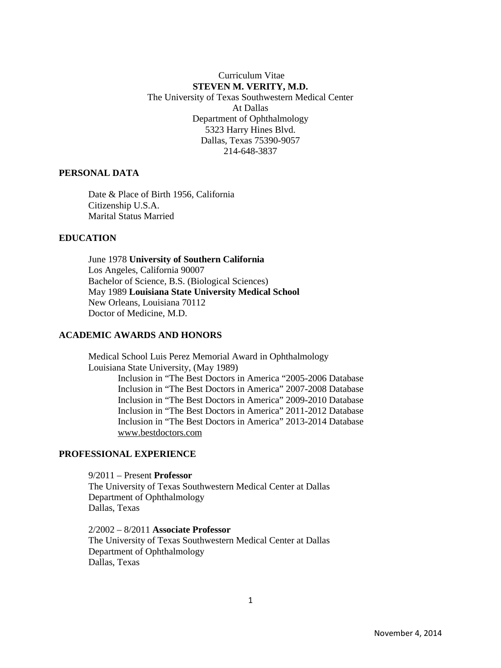Curriculum Vitae **STEVEN M. VERITY, M.D.**  The University of Texas Southwestern Medical Center At Dallas Department of Ophthalmology 5323 Harry Hines Blvd. Dallas, Texas 75390-9057 214-648-3837

#### **PERSONAL DATA**

Date & Place of Birth 1956, California Citizenship U.S.A. Marital Status Married

# **EDUCATION**

June 1978 **University of Southern California**  Los Angeles, California 90007 Bachelor of Science, B.S. (Biological Sciences) May 1989 **Louisiana State University Medical School**  New Orleans, Louisiana 70112 Doctor of Medicine, M.D.

# **ACADEMIC AWARDS AND HONORS**

Medical School Luis Perez Memorial Award in Ophthalmology Louisiana State University, (May 1989) Inclusion in "The Best Doctors in America "2005-2006 Database Inclusion in "The Best Doctors in America" 2007-2008 Database Inclusion in "The Best Doctors in America" 2009-2010 Database Inclusion in "The Best Doctors in America" 2011-2012 Database Inclusion in "The Best Doctors in America" 2013-2014 Database www.bestdoctors.com

### **PROFESSIONAL EXPERIENCE**

9/2011 – Present **Professor**  The University of Texas Southwestern Medical Center at Dallas Department of Ophthalmology Dallas, Texas

2/2002 – 8/2011 **Associate Professor**  The University of Texas Southwestern Medical Center at Dallas Department of Ophthalmology Dallas, Texas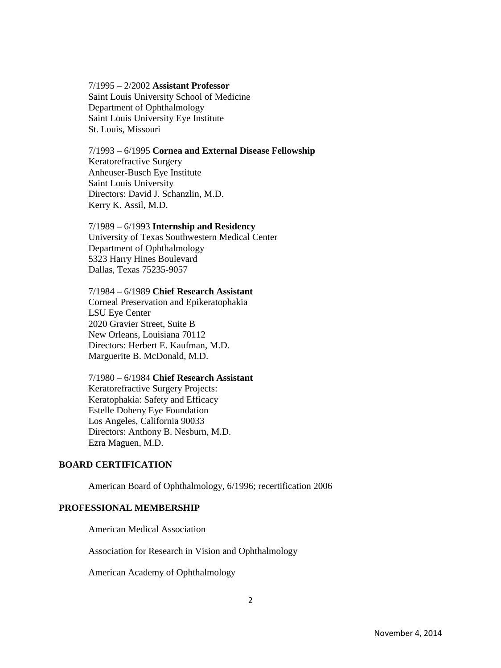#### 7/1995 – 2/2002 **Assistant Professor**  Saint Louis University School of Medicine Department of Ophthalmology Saint Louis University Eye Institute St. Louis, Missouri

## 7/1993 – 6/1995 **Cornea and External Disease Fellowship**

Keratorefractive Surgery Anheuser-Busch Eye Institute Saint Louis University Directors: David J. Schanzlin, M.D. Kerry K. Assil, M.D.

#### 7/1989 – 6/1993 **Internship and Residency**

University of Texas Southwestern Medical Center Department of Ophthalmology 5323 Harry Hines Boulevard Dallas, Texas 75235-9057

#### 7/1984 – 6/1989 **Chief Research Assistant**

Corneal Preservation and Epikeratophakia LSU Eye Center 2020 Gravier Street, Suite B New Orleans, Louisiana 70112 Directors: Herbert E. Kaufman, M.D. Marguerite B. McDonald, M.D.

#### 7/1980 – 6/1984 **Chief Research Assistant**

Keratorefractive Surgery Projects: Keratophakia: Safety and Efficacy Estelle Doheny Eye Foundation Los Angeles, California 90033 Directors: Anthony B. Nesburn, M.D. Ezra Maguen, M.D.

## **BOARD CERTIFICATION**

American Board of Ophthalmology, 6/1996; recertification 2006

## **PROFESSIONAL MEMBERSHIP**

American Medical Association

Association for Research in Vision and Ophthalmology

American Academy of Ophthalmology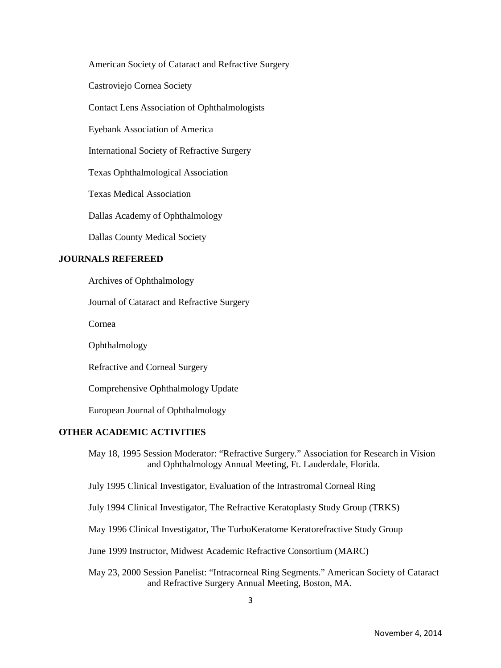American Society of Cataract and Refractive Surgery

Castroviejo Cornea Society

Contact Lens Association of Ophthalmologists

Eyebank Association of America

International Society of Refractive Surgery

Texas Ophthalmological Association

Texas Medical Association

Dallas Academy of Ophthalmology

Dallas County Medical Society

#### **JOURNALS REFEREED**

Archives of Ophthalmology

Journal of Cataract and Refractive Surgery

Cornea

Ophthalmology

Refractive and Corneal Surgery

Comprehensive Ophthalmology Update

European Journal of Ophthalmology

## **OTHER ACADEMIC ACTIVITIES**

May 18, 1995 Session Moderator: "Refractive Surgery." Association for Research in Vision and Ophthalmology Annual Meeting, Ft. Lauderdale, Florida.

July 1995 Clinical Investigator, Evaluation of the Intrastromal Corneal Ring

July 1994 Clinical Investigator, The Refractive Keratoplasty Study Group (TRKS)

May 1996 Clinical Investigator, The TurboKeratome Keratorefractive Study Group

June 1999 Instructor, Midwest Academic Refractive Consortium (MARC)

May 23, 2000 Session Panelist: "Intracorneal Ring Segments." American Society of Cataract and Refractive Surgery Annual Meeting, Boston, MA.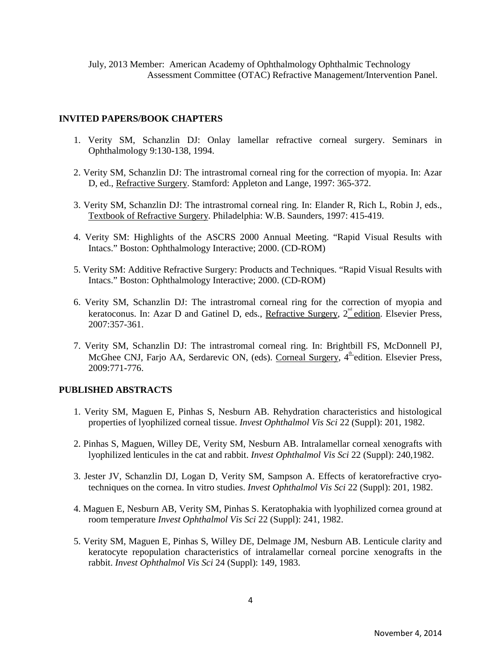## **INVITED PAPERS/BOOK CHAPTERS**

- 1. Verity SM, Schanzlin DJ: Onlay lamellar refractive corneal surgery. Seminars in Ophthalmology 9:130-138, 1994.
- 2. Verity SM, Schanzlin DJ: The intrastromal corneal ring for the correction of myopia. In: Azar D, ed., Refractive Surgery. Stamford: Appleton and Lange, 1997: 365-372.
- 3. Verity SM, Schanzlin DJ: The intrastromal corneal ring. In: Elander R, Rich L, Robin J, eds., Textbook of Refractive Surgery. Philadelphia: W.B. Saunders, 1997: 415-419.
- 4. Verity SM: Highlights of the ASCRS 2000 Annual Meeting. "Rapid Visual Results with Intacs." Boston: Ophthalmology Interactive; 2000. (CD-ROM)
- 5. Verity SM: Additive Refractive Surgery: Products and Techniques. "Rapid Visual Results with Intacs." Boston: Ophthalmology Interactive; 2000. (CD-ROM)
- 6. Verity SM, Schanzlin DJ: The intrastromal corneal ring for the correction of myopia and keratoconus. In: Azar D and Gatinel D, eds., Refractive Surgery,  $2^{nd}$  edition. Elsevier Press, 2007:357-361.
- 7. Verity SM, Schanzlin DJ: The intrastromal corneal ring. In: Brightbill FS, McDonnell PJ, McGhee CNJ, Farjo AA, Serdarevic ON, (eds). Corneal Surgery,  $4^{\frac{th}{2}}$ edition. Elsevier Press, 2009:771-776.

## **PUBLISHED ABSTRACTS**

- 1. Verity SM, Maguen E, Pinhas S, Nesburn AB. Rehydration characteristics and histological properties of lyophilized corneal tissue. *Invest Ophthalmol Vis Sci* 22 (Suppl): 201, 1982.
- 2. Pinhas S, Maguen, Willey DE, Verity SM, Nesburn AB. Intralamellar corneal xenografts with lyophilized lenticules in the cat and rabbit. *Invest Ophthalmol Vis Sci* 22 (Suppl): 240,1982.
- 3. Jester JV, Schanzlin DJ, Logan D, Verity SM, Sampson A. Effects of keratorefractive cryotechniques on the cornea. In vitro studies. *Invest Ophthalmol Vis Sci* 22 (Suppl): 201, 1982.
- 4. Maguen E, Nesburn AB, Verity SM, Pinhas S. Keratophakia with lyophilized cornea ground at room temperature *Invest Ophthalmol Vis Sci* 22 (Suppl): 241, 1982.
- 5. Verity SM, Maguen E, Pinhas S, Willey DE, Delmage JM, Nesburn AB. Lenticule clarity and keratocyte repopulation characteristics of intralamellar corneal porcine xenografts in the rabbit. *Invest Ophthalmol Vis Sci* 24 (Suppl): 149, 1983.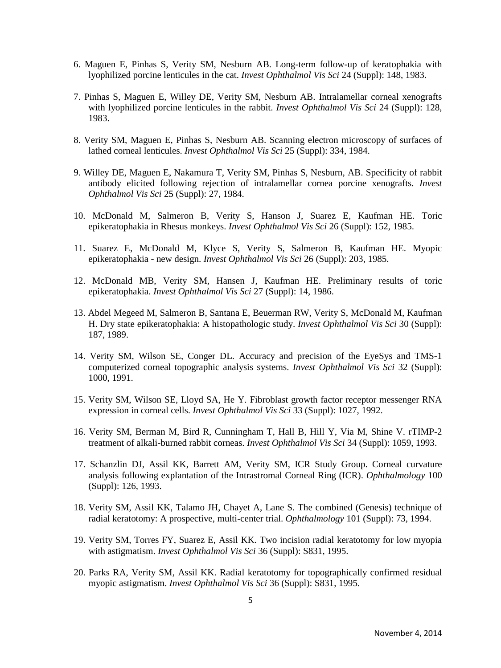- 6. Maguen E, Pinhas S, Verity SM, Nesburn AB. Long-term follow-up of keratophakia with lyophilized porcine lenticules in the cat. *Invest Ophthalmol Vis Sci* 24 (Suppl): 148, 1983.
- 7. Pinhas S, Maguen E, Willey DE, Verity SM, Nesburn AB. Intralamellar corneal xenografts with lyophilized porcine lenticules in the rabbit. *Invest Ophthalmol Vis Sci* 24 (Suppl): 128, 1983.
- 8. Verity SM, Maguen E, Pinhas S, Nesburn AB. Scanning electron microscopy of surfaces of lathed corneal lenticules. *Invest Ophthalmol Vis Sci* 25 (Suppl): 334, 1984.
- 9. Willey DE, Maguen E, Nakamura T, Verity SM, Pinhas S, Nesburn, AB. Specificity of rabbit antibody elicited following rejection of intralamellar cornea porcine xenografts. *Invest Ophthalmol Vis Sci* 25 (Suppl): 27, 1984.
- 10. McDonald M, Salmeron B, Verity S, Hanson J, Suarez E, Kaufman HE. Toric epikeratophakia in Rhesus monkeys. *Invest Ophthalmol Vis Sci* 26 (Suppl): 152, 1985.
- 11. Suarez E, McDonald M, Klyce S, Verity S, Salmeron B, Kaufman HE. Myopic epikeratophakia - new design. *Invest Ophthalmol Vis Sci* 26 (Suppl): 203, 1985.
- 12. McDonald MB, Verity SM, Hansen J, Kaufman HE. Preliminary results of toric epikeratophakia. *Invest Ophthalmol Vis Sci* 27 (Suppl): 14, 1986.
- 13. Abdel Megeed M, Salmeron B, Santana E, Beuerman RW, Verity S, McDonald M, Kaufman H. Dry state epikeratophakia: A histopathologic study. *Invest Ophthalmol Vis Sci* 30 (Suppl): 187, 1989.
- 14. Verity SM, Wilson SE, Conger DL. Accuracy and precision of the EyeSys and TMS-1 computerized corneal topographic analysis systems. *Invest Ophthalmol Vis Sci* 32 (Suppl): 1000, 1991.
- 15. Verity SM, Wilson SE, Lloyd SA, He Y. Fibroblast growth factor receptor messenger RNA expression in corneal cells. *Invest Ophthalmol Vis Sci* 33 (Suppl): 1027, 1992.
- 16. Verity SM, Berman M, Bird R, Cunningham T, Hall B, Hill Y, Via M, Shine V. rTIMP-2 treatment of alkali-burned rabbit corneas. *Invest Ophthalmol Vis Sci* 34 (Suppl): 1059, 1993.
- 17. Schanzlin DJ, Assil KK, Barrett AM, Verity SM, ICR Study Group. Corneal curvature analysis following explantation of the Intrastromal Corneal Ring (ICR). *Ophthalmology* 100 (Suppl): 126, 1993.
- 18. Verity SM, Assil KK, Talamo JH, Chayet A, Lane S. The combined (Genesis) technique of radial keratotomy: A prospective, multi-center trial. *Ophthalmology* 101 (Suppl): 73, 1994.
- 19. Verity SM, Torres FY, Suarez E, Assil KK. Two incision radial keratotomy for low myopia with astigmatism. *Invest Ophthalmol Vis Sci* 36 (Suppl): S831, 1995.
- 20. Parks RA, Verity SM, Assil KK. Radial keratotomy for topographically confirmed residual myopic astigmatism. *Invest Ophthalmol Vis Sci* 36 (Suppl): S831, 1995.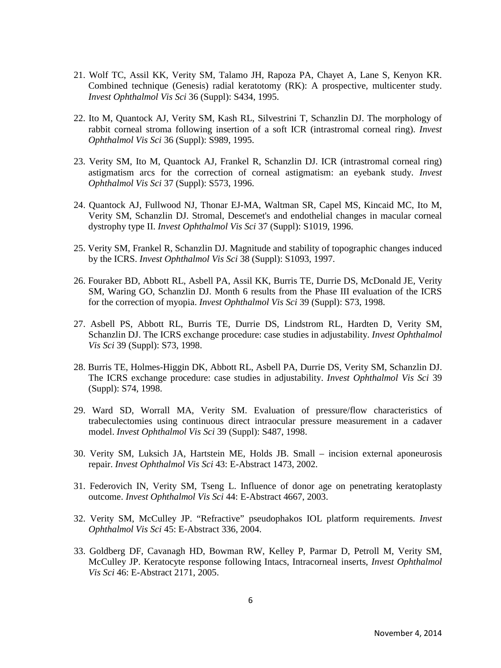- 21. Wolf TC, Assil KK, Verity SM, Talamo JH, Rapoza PA, Chayet A, Lane S, Kenyon KR. Combined technique (Genesis) radial keratotomy (RK): A prospective, multicenter study. *Invest Ophthalmol Vis Sci* 36 (Suppl): S434, 1995.
- 22. Ito M, Quantock AJ, Verity SM, Kash RL, Silvestrini T, Schanzlin DJ. The morphology of rabbit corneal stroma following insertion of a soft ICR (intrastromal corneal ring). *Invest Ophthalmol Vis Sci* 36 (Suppl): S989, 1995.
- 23. Verity SM, Ito M, Quantock AJ, Frankel R, Schanzlin DJ. ICR (intrastromal corneal ring) astigmatism arcs for the correction of corneal astigmatism: an eyebank study. *Invest Ophthalmol Vis Sci* 37 (Suppl): S573, 1996.
- 24. Quantock AJ, Fullwood NJ, Thonar EJ-MA, Waltman SR, Capel MS, Kincaid MC, Ito M, Verity SM, Schanzlin DJ. Stromal, Descemet's and endothelial changes in macular corneal dystrophy type II. *Invest Ophthalmol Vis Sci* 37 (Suppl): S1019, 1996.
- 25. Verity SM, Frankel R, Schanzlin DJ. Magnitude and stability of topographic changes induced by the ICRS. *Invest Ophthalmol Vis Sci* 38 (Suppl): S1093, 1997.
- 26. Fouraker BD, Abbott RL, Asbell PA, Assil KK, Burris TE, Durrie DS, McDonald JE, Verity SM, Waring GO, Schanzlin DJ. Month 6 results from the Phase III evaluation of the ICRS for the correction of myopia. *Invest Ophthalmol Vis Sci* 39 (Suppl): S73, 1998.
- 27. Asbell PS, Abbott RL, Burris TE, Durrie DS, Lindstrom RL, Hardten D, Verity SM, Schanzlin DJ. The ICRS exchange procedure: case studies in adjustability. *Invest Ophthalmol Vis Sci* 39 (Suppl): S73, 1998.
- 28. Burris TE, Holmes-Higgin DK, Abbott RL, Asbell PA, Durrie DS, Verity SM, Schanzlin DJ. The ICRS exchange procedure: case studies in adjustability. *Invest Ophthalmol Vis Sci* 39 (Suppl): S74, 1998.
- 29. Ward SD, Worrall MA, Verity SM. Evaluation of pressure/flow characteristics of trabeculectomies using continuous direct intraocular pressure measurement in a cadaver model. *Invest Ophthalmol Vis Sci* 39 (Suppl): S487, 1998.
- 30. Verity SM, Luksich JA, Hartstein ME, Holds JB. Small incision external aponeurosis repair. *Invest Ophthalmol Vis Sci* 43: E-Abstract 1473, 2002.
- 31. Federovich IN, Verity SM, Tseng L. Influence of donor age on penetrating keratoplasty outcome. *Invest Ophthalmol Vis Sci* 44: E-Abstract 4667, 2003.
- 32. Verity SM, McCulley JP. "Refractive" pseudophakos IOL platform requirements. *Invest Ophthalmol Vis Sci* 45: E-Abstract 336, 2004.
- 33. Goldberg DF, Cavanagh HD, Bowman RW, Kelley P, Parmar D, Petroll M, Verity SM, McCulley JP. Keratocyte response following Intacs, Intracorneal inserts, *Invest Ophthalmol Vis Sci* 46: E-Abstract 2171, 2005.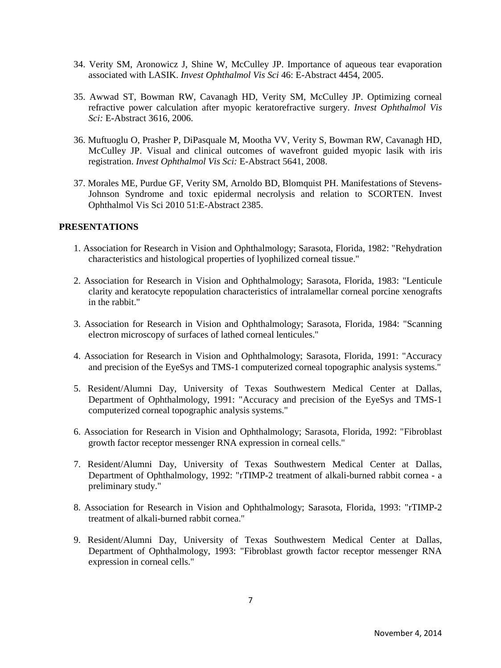- 34. Verity SM, Aronowicz J, Shine W, McCulley JP. Importance of aqueous tear evaporation associated with LASIK. *Invest Ophthalmol Vis Sci* 46: E-Abstract 4454, 2005.
- 35. Awwad ST, Bowman RW, Cavanagh HD, Verity SM, McCulley JP. Optimizing corneal refractive power calculation after myopic keratorefractive surgery. *Invest Ophthalmol Vis Sci:* E-Abstract 3616, 2006.
- 36. Muftuoglu O, Prasher P, DiPasquale M, Mootha VV, Verity S, Bowman RW, Cavanagh HD, McCulley JP. Visual and clinical outcomes of wavefront guided myopic lasik with iris registration. *Invest Ophthalmol Vis Sci:* E-Abstract 5641, 2008.
- 37. Morales ME, Purdue GF, Verity SM, Arnoldo BD, Blomquist PH. Manifestations of Stevens-Johnson Syndrome and toxic epidermal necrolysis and relation to SCORTEN. Invest Ophthalmol Vis Sci 2010 51:E-Abstract 2385.

#### **PRESENTATIONS**

- 1. Association for Research in Vision and Ophthalmology; Sarasota, Florida, 1982: "Rehydration characteristics and histological properties of lyophilized corneal tissue."
- 2. Association for Research in Vision and Ophthalmology; Sarasota, Florida, 1983: "Lenticule clarity and keratocyte repopulation characteristics of intralamellar corneal porcine xenografts in the rabbit."
- 3. Association for Research in Vision and Ophthalmology; Sarasota, Florida, 1984: "Scanning electron microscopy of surfaces of lathed corneal lenticules."
- 4. Association for Research in Vision and Ophthalmology; Sarasota, Florida, 1991: "Accuracy and precision of the EyeSys and TMS-1 computerized corneal topographic analysis systems."
- 5. Resident/Alumni Day, University of Texas Southwestern Medical Center at Dallas, Department of Ophthalmology, 1991: "Accuracy and precision of the EyeSys and TMS-1 computerized corneal topographic analysis systems."
- 6. Association for Research in Vision and Ophthalmology; Sarasota, Florida, 1992: "Fibroblast growth factor receptor messenger RNA expression in corneal cells."
- 7. Resident/Alumni Day, University of Texas Southwestern Medical Center at Dallas, Department of Ophthalmology, 1992: "rTIMP-2 treatment of alkali-burned rabbit cornea - a preliminary study."
- 8. Association for Research in Vision and Ophthalmology; Sarasota, Florida, 1993: "rTIMP-2 treatment of alkali-burned rabbit cornea."
- 9. Resident/Alumni Day, University of Texas Southwestern Medical Center at Dallas, Department of Ophthalmology, 1993: "Fibroblast growth factor receptor messenger RNA expression in corneal cells."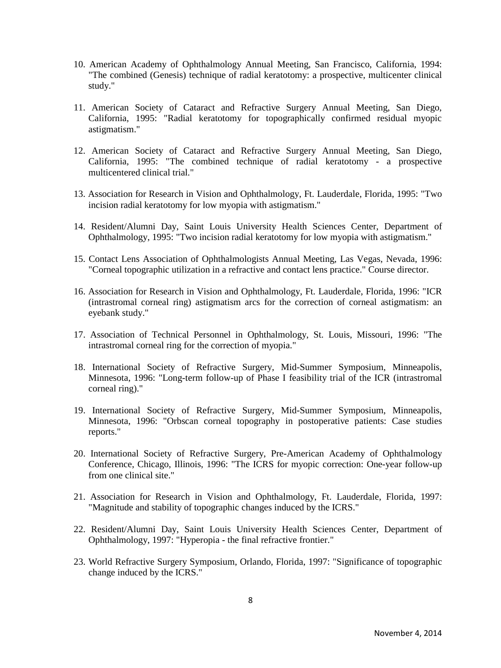- 10. American Academy of Ophthalmology Annual Meeting, San Francisco, California, 1994: "The combined (Genesis) technique of radial keratotomy: a prospective, multicenter clinical study."
- 11. American Society of Cataract and Refractive Surgery Annual Meeting, San Diego, California, 1995: "Radial keratotomy for topographically confirmed residual myopic astigmatism."
- 12. American Society of Cataract and Refractive Surgery Annual Meeting, San Diego, California, 1995: "The combined technique of radial keratotomy - a prospective multicentered clinical trial."
- 13. Association for Research in Vision and Ophthalmology, Ft. Lauderdale, Florida, 1995: "Two incision radial keratotomy for low myopia with astigmatism."
- 14. Resident/Alumni Day, Saint Louis University Health Sciences Center, Department of Ophthalmology, 1995: "Two incision radial keratotomy for low myopia with astigmatism."
- 15. Contact Lens Association of Ophthalmologists Annual Meeting, Las Vegas, Nevada, 1996: "Corneal topographic utilization in a refractive and contact lens practice." Course director.
- 16. Association for Research in Vision and Ophthalmology, Ft. Lauderdale, Florida, 1996: "ICR (intrastromal corneal ring) astigmatism arcs for the correction of corneal astigmatism: an eyebank study."
- 17. Association of Technical Personnel in Ophthalmology, St. Louis, Missouri, 1996: "The intrastromal corneal ring for the correction of myopia."
- 18. International Society of Refractive Surgery, Mid-Summer Symposium, Minneapolis, Minnesota, 1996: "Long-term follow-up of Phase I feasibility trial of the ICR (intrastromal corneal ring)."
- 19. International Society of Refractive Surgery, Mid-Summer Symposium, Minneapolis, Minnesota, 1996: "Orbscan corneal topography in postoperative patients: Case studies reports."
- 20. International Society of Refractive Surgery, Pre-American Academy of Ophthalmology Conference, Chicago, Illinois, 1996: "The ICRS for myopic correction: One-year follow-up from one clinical site."
- 21. Association for Research in Vision and Ophthalmology, Ft. Lauderdale, Florida, 1997: "Magnitude and stability of topographic changes induced by the ICRS."
- 22. Resident/Alumni Day, Saint Louis University Health Sciences Center, Department of Ophthalmology, 1997: "Hyperopia - the final refractive frontier."
- 23. World Refractive Surgery Symposium, Orlando, Florida, 1997: "Significance of topographic change induced by the ICRS."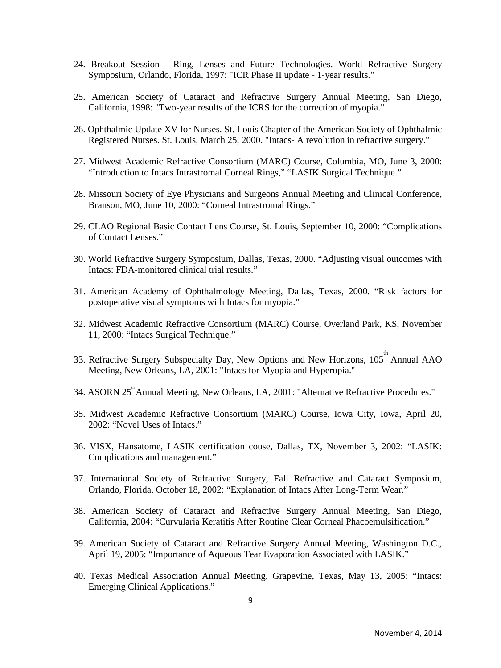- 24. Breakout Session Ring, Lenses and Future Technologies. World Refractive Surgery Symposium, Orlando, Florida, 1997: "ICR Phase II update - 1-year results."
- 25. American Society of Cataract and Refractive Surgery Annual Meeting, San Diego, California, 1998: "Two-year results of the ICRS for the correction of myopia."
- 26. Ophthalmic Update XV for Nurses. St. Louis Chapter of the American Society of Ophthalmic Registered Nurses. St. Louis, March 25, 2000. "Intacs- A revolution in refractive surgery."
- 27. Midwest Academic Refractive Consortium (MARC) Course, Columbia, MO, June 3, 2000: "Introduction to Intacs Intrastromal Corneal Rings," "LASIK Surgical Technique."
- 28. Missouri Society of Eye Physicians and Surgeons Annual Meeting and Clinical Conference, Branson, MO, June 10, 2000: "Corneal Intrastromal Rings."
- 29. CLAO Regional Basic Contact Lens Course, St. Louis, September 10, 2000: "Complications of Contact Lenses."
- 30. World Refractive Surgery Symposium, Dallas, Texas, 2000. "Adjusting visual outcomes with Intacs: FDA-monitored clinical trial results."
- 31. American Academy of Ophthalmology Meeting, Dallas, Texas, 2000. "Risk factors for postoperative visual symptoms with Intacs for myopia."
- 32. Midwest Academic Refractive Consortium (MARC) Course, Overland Park, KS, November 11, 2000: "Intacs Surgical Technique."
- 33. Refractive Surgery Subspecialty Day, New Options and New Horizons,  $105^{\text{th}}$  Annual AAO Meeting, New Orleans, LA, 2001: "Intacs for Myopia and Hyperopia."
- 34. ASORN 25<sup>th</sup> Annual Meeting, New Orleans, LA, 2001: "Alternative Refractive Procedures."
- 35. Midwest Academic Refractive Consortium (MARC) Course, Iowa City, Iowa, April 20, 2002: "Novel Uses of Intacs."
- 36. VISX, Hansatome, LASIK certification couse, Dallas, TX, November 3, 2002: "LASIK: Complications and management."
- 37. International Society of Refractive Surgery, Fall Refractive and Cataract Symposium, Orlando, Florida, October 18, 2002: "Explanation of Intacs After Long-Term Wear."
- 38. American Society of Cataract and Refractive Surgery Annual Meeting, San Diego, California, 2004: "Curvularia Keratitis After Routine Clear Corneal Phacoemulsification."
- 39. American Society of Cataract and Refractive Surgery Annual Meeting, Washington D.C., April 19, 2005: "Importance of Aqueous Tear Evaporation Associated with LASIK."
- 40. Texas Medical Association Annual Meeting, Grapevine, Texas, May 13, 2005: "Intacs: Emerging Clinical Applications."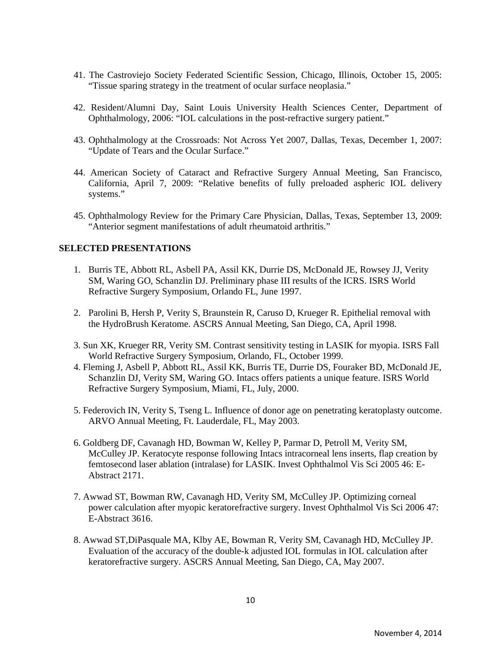- 41. The Castroviejo Society Federated Scientific Session, Chicago, Illinois, October 15, 2005: "Tissue sparing strategy in the treatment of ocular surface neoplasia."
- 42. Resident/Alumni Day, Saint Louis University Health Sciences Center, Department of Ophthalmology, 2006: "IOL calculations in the post-refractive surgery patient."
- 43. Ophthalmology at the Crossroads: Not Across Yet 2007, Dallas, Texas, December 1, 2007: "Update of Tears and the Ocular Surface."
- 44. American Society of Cataract and Refractive Surgery Annual Meeting, San Francisco, California, April 7, 2009: "Relative benefits of fully preloaded aspheric IOL delivery systems."
- 45. Ophthalmology Review for the Primary Care Physician, Dallas, Texas, September 13, 2009: "Anterior segment manifestations of adult rheumatoid arthritis."

## **SELECTED PRESENTATIONS**

- 1. Burris TE, Abbott RL, Asbell PA, Assil KK, Durrie DS, McDonald JE, Rowsey JJ, Verity SM, Waring GO, Schanzlin DJ. Preliminary phase III results of the ICRS. ISRS World Refractive Surgery Symposium, Orlando FL, June 1997.
- 2. Parolini B, Hersh P, Verity S, Braunstein R, Caruso D, Krueger R. Epithelial removal with the HydroBrush Keratome. ASCRS Annual Meeting, San Diego, CA, April 1998.
- 3. Sun XK, Krueger RR, Verity SM. Contrast sensitivity testing in LASIK for myopia. ISRS Fall World Refractive Surgery Symposium, Orlando, FL, October 1999.
- 4. Fleming J, Asbell P, Abbott RL, Assil KK, Burris TE, Durrie DS, Fouraker BD, McDonald JE, Schanzlin DJ, Verity SM, Waring GO. Intacs offers patients a unique feature. ISRS World Refractive Surgery Symposium, Miami, FL, July, 2000.
- 5. Federovich IN, Verity S, Tseng L. Influence of donor age on penetrating keratoplasty outcome. ARVO Annual Meeting, Ft. Lauderdale, FL, May 2003.
- 6. Goldberg DF, Cavanagh HD, Bowman W, Kelley P, Parmar D, Petroll M, Verity SM, McCulley JP. Keratocyte response following Intacs intracorneal lens inserts, flap creation by femtosecond laser ablation (intralase) for LASIK. Invest Ophthalmol Vis Sci 2005 46: E-Abstract 2171.
- 7. Awwad ST, Bowman RW, Cavanagh HD, Verity SM, McCulley JP. Optimizing corneal power calculation after myopic keratorefractive surgery. Invest Ophthalmol Vis Sci 2006 47: E-Abstract 3616.
- 8. Awwad ST,DiPasquale MA, Klby AE, Bowman R, Verity SM, Cavanagh HD, McCulley JP. Evaluation of the accuracy of the double-k adjusted IOL formulas in IOL calculation after keratorefractive surgery. ASCRS Annual Meeting, San Diego, CA, May 2007.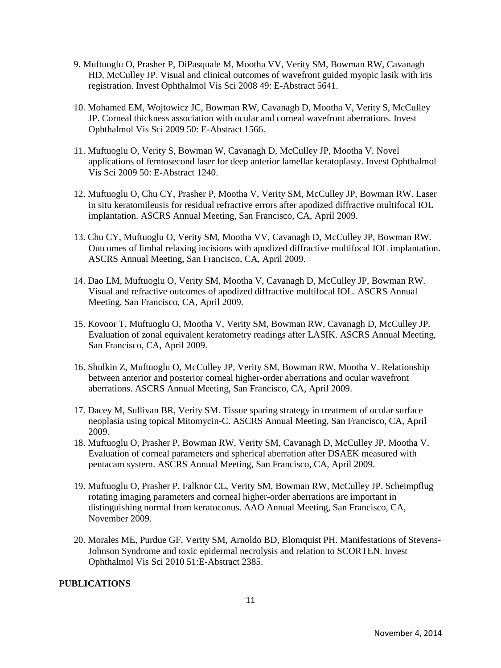- 9. Muftuoglu O, Prasher P, DiPasquale M, Mootha VV, Verity SM, Bowman RW, Cavanagh HD, McCulley JP. Visual and clinical outcomes of wavefront guided myopic lasik with iris registration. Invest Ophthalmol Vis Sci 2008 49: E-Abstract 5641.
- 10. Mohamed EM, Wojtowicz JC, Bowman RW, Cavanagh D, Mootha V, Verity S, McCulley JP. Corneal thickness association with ocular and corneal wavefront aberrations. Invest Ophthalmol Vis Sci 2009 50: E-Abstract 1566.
- 11. Muftuoglu O, Verity S, Bowman W, Cavanagh D, McCulley JP, Mootha V. Novel applications of femtosecond laser for deep anterior lamellar keratoplasty. Invest Ophthalmol Vis Sci 2009 50: E-Abstract 1240.
- 12. Muftuoglu O, Chu CY, Prasher P, Mootha V, Verity SM, McCulley JP, Bowman RW. Laser in situ keratomileusis for residual refractive errors after apodized diffractive multifocal IOL implantation. ASCRS Annual Meeting, San Francisco, CA, April 2009.
- 13. Chu CY, Muftuoglu O, Verity SM, Mootha VV, Cavanagh D, McCulley JP, Bowman RW. Outcomes of limbal relaxing incisions with apodized diffractive multifocal IOL implantation. ASCRS Annual Meeting, San Francisco, CA, April 2009.
- 14. Dao LM, Muftuoglu O, Verity SM, Mootha V, Cavanagh D, McCulley JP, Bowman RW. Visual and refractive outcomes of apodized diffractive multifocal IOL. ASCRS Annual Meeting, San Francisco, CA, April 2009.
- 15. Kovoor T, Muftuoglu O, Mootha V, Verity SM, Bowman RW, Cavanagh D, McCulley JP. Evaluation of zonal equivalent keratometry readings after LASIK. ASCRS Annual Meeting, San Francisco, CA, April 2009.
- 16. Shulkin Z, Muftuoglu O, McCulley JP, Verity SM, Bowman RW, Mootha V. Relationship between anterior and posterior corneal higher-order aberrations and ocular wavefront aberrations. ASCRS Annual Meeting, San Francisco, CA, April 2009.
- 17. Dacey M, Sullivan BR, Verity SM. Tissue sparing strategy in treatment of ocular surface neoplasia using topical Mitomycin-C. ASCRS Annual Meeting, San Francisco, CA, April 2009.
- 18. Muftuoglu O, Prasher P, Bowman RW, Verity SM, Cavanagh D, McCulley JP, Mootha V. Evaluation of corneal parameters and spherical aberration after DSAEK measured with pentacam system. ASCRS Annual Meeting, San Francisco, CA, April 2009.
- 19. Muftuoglu O, Prasher P, Falknor CL, Verity SM, Bowman RW, McCulley JP. Scheimpflug rotating imaging parameters and corneal higher-order aberrations are important in distinguishing normal from keratoconus. AAO Annual Meeting, San Francisco, CA, November 2009.
- 20. Morales ME, Purdue GF, Verity SM, Arnoldo BD, Blomquist PH. Manifestations of Stevens-Johnson Syndrome and toxic epidermal necrolysis and relation to SCORTEN. Invest Ophthalmol Vis Sci 2010 51:E-Abstract 2385.

## **PUBLICATIONS**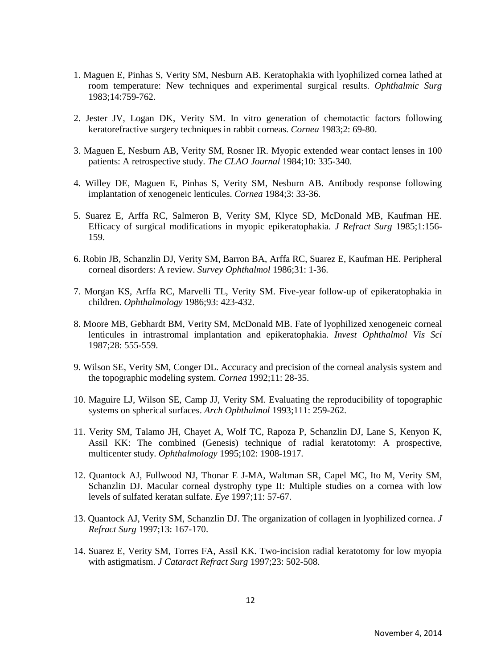- 1. Maguen E, Pinhas S, Verity SM, Nesburn AB. Keratophakia with lyophilized cornea lathed at room temperature: New techniques and experimental surgical results. *Ophthalmic Surg*  1983;14:759-762.
- 2. Jester JV, Logan DK, Verity SM. In vitro generation of chemotactic factors following keratorefractive surgery techniques in rabbit corneas. *Cornea* 1983;2: 69-80.
- 3. Maguen E, Nesburn AB, Verity SM, Rosner IR. Myopic extended wear contact lenses in 100 patients: A retrospective study. *The CLAO Journal* 1984;10: 335-340.
- 4. Willey DE, Maguen E, Pinhas S, Verity SM, Nesburn AB. Antibody response following implantation of xenogeneic lenticules. *Cornea* 1984;3: 33-36.
- 5. Suarez E, Arffa RC, Salmeron B, Verity SM, Klyce SD, McDonald MB, Kaufman HE. Efficacy of surgical modifications in myopic epikeratophakia. *J Refract Surg* 1985;1:156- 159.
- 6. Robin JB, Schanzlin DJ, Verity SM, Barron BA, Arffa RC, Suarez E, Kaufman HE. Peripheral corneal disorders: A review. *Survey Ophthalmol* 1986;31: 1-36.
- 7. Morgan KS, Arffa RC, Marvelli TL, Verity SM. Five-year follow-up of epikeratophakia in children. *Ophthalmology* 1986;93: 423-432.
- 8. Moore MB, Gebhardt BM, Verity SM, McDonald MB. Fate of lyophilized xenogeneic corneal lenticules in intrastromal implantation and epikeratophakia. *Invest Ophthalmol Vis Sci*  1987;28: 555-559.
- 9. Wilson SE, Verity SM, Conger DL. Accuracy and precision of the corneal analysis system and the topographic modeling system. *Cornea* 1992;11: 28-35.
- 10. Maguire LJ, Wilson SE, Camp JJ, Verity SM. Evaluating the reproducibility of topographic systems on spherical surfaces. *Arch Ophthalmol* 1993;111: 259-262.
- 11. Verity SM, Talamo JH, Chayet A, Wolf TC, Rapoza P, Schanzlin DJ, Lane S, Kenyon K, Assil KK: The combined (Genesis) technique of radial keratotomy: A prospective, multicenter study. *Ophthalmology* 1995;102: 1908-1917.
- 12. Quantock AJ, Fullwood NJ, Thonar E J-MA, Waltman SR, Capel MC, Ito M, Verity SM, Schanzlin DJ. Macular corneal dystrophy type II: Multiple studies on a cornea with low levels of sulfated keratan sulfate. *Eye* 1997;11: 57-67.
- 13. Quantock AJ, Verity SM, Schanzlin DJ. The organization of collagen in lyophilized cornea. *J Refract Surg* 1997;13: 167-170.
- 14. Suarez E, Verity SM, Torres FA, Assil KK. Two-incision radial keratotomy for low myopia with astigmatism. *J Cataract Refract Surg* 1997;23: 502-508.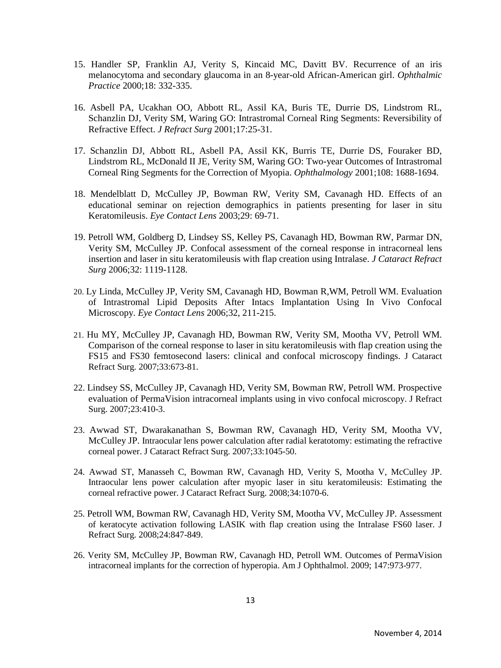- 15. Handler SP, Franklin AJ, Verity S, Kincaid MC, Davitt BV. Recurrence of an iris melanocytoma and secondary glaucoma in an 8-year-old African-American girl. *Ophthalmic Practice* 2000;18: 332-335.
- 16. Asbell PA, Ucakhan OO, Abbott RL, Assil KA, Buris TE, Durrie DS, Lindstrom RL, Schanzlin DJ, Verity SM, Waring GO: Intrastromal Corneal Ring Segments: Reversibility of Refractive Effect. *J Refract Surg* 2001;17:25-31.
- 17. Schanzlin DJ, Abbott RL, Asbell PA, Assil KK, Burris TE, Durrie DS, Fouraker BD, Lindstrom RL, McDonald II JE, Verity SM, Waring GO: Two-year Outcomes of Intrastromal Corneal Ring Segments for the Correction of Myopia. *Ophthalmology* 2001;108: 1688-1694.
- 18. Mendelblatt D, McCulley JP, Bowman RW, Verity SM, Cavanagh HD. Effects of an educational seminar on rejection demographics in patients presenting for laser in situ Keratomileusis. *Eye Contact Lens* 2003;29: 69-71.
- 19. Petroll WM, Goldberg D, Lindsey SS, Kelley PS, Cavanagh HD, Bowman RW, Parmar DN, Verity SM, McCulley JP. Confocal assessment of the corneal response in intracorneal lens insertion and laser in situ keratomileusis with flap creation using Intralase. *J Cataract Refract Surg* 2006;32: 1119-1128.
- 20. Ly Linda, McCulley JP, Verity SM, Cavanagh HD, Bowman R,WM, Petroll WM. Evaluation of Intrastromal Lipid Deposits After Intacs Implantation Using In Vivo Confocal Microscopy. *Eye Contact Lens* 2006;32, 211-215.
- 21. Hu MY, McCulley JP, Cavanagh HD, Bowman RW, Verity SM, Mootha VV, Petroll WM. Comparison of the corneal response to laser in situ keratomileusis with flap creation using the FS15 and FS30 femtosecond lasers: clinical and confocal microscopy findings. J Cataract Refract Surg. 2007;33:673-81.
- 22. Lindsey SS, McCulley JP, Cavanagh HD, Verity SM, Bowman RW, Petroll WM. Prospective evaluation of PermaVision intracorneal implants using in vivo confocal microscopy. J Refract Surg. 2007;23:410-3.
- 23. Awwad ST, Dwarakanathan S, Bowman RW, Cavanagh HD, Verity SM, Mootha VV, McCulley JP. Intraocular lens power calculation after radial keratotomy: estimating the refractive corneal power. J Cataract Refract Surg. 2007;33:1045-50.
- 24. Awwad ST, Manasseh C, Bowman RW, Cavanagh HD, Verity S, Mootha V, McCulley JP. Intraocular lens power calculation after myopic laser in situ keratomileusis: Estimating the corneal refractive power. J Cataract Refract Surg. 2008;34:1070-6.
- 25. Petroll WM, Bowman RW, Cavanagh HD, Verity SM, Mootha VV, McCulley JP. Assessment of keratocyte activation following LASIK with flap creation using the Intralase FS60 laser. J Refract Surg. 2008;24:847-849.
- 26. Verity SM, McCulley JP, Bowman RW, Cavanagh HD, Petroll WM. Outcomes of PermaVision intracorneal implants for the correction of hyperopia. Am J Ophthalmol. 2009; 147:973-977.